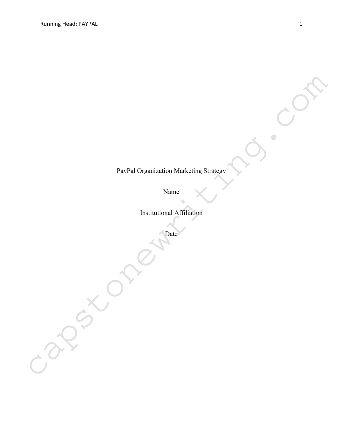# PayPal Organization Marketing Strategy capstonewriting.com

Name

Institutional Affiliation

Date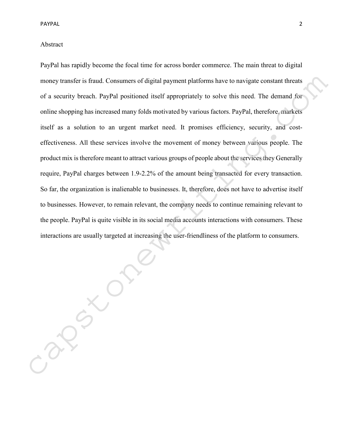# Abstract

PayPal has rapidly become the focal time for across border commerce. The main threat to digital money transfer is fraud. Consumers of digital payment platforms have to navigate constant threats of a security breach. PayPal positioned itself appropriately to solve this need. The demand for online shopping has increased many folds motivated by various factors. PayPal, therefore, markets itself as a solution to an urgent market need. It promises efficiency, security, and costeffectiveness. All these services involve the movement of money between various people. The product mix is therefore meant to attract various groups of people about the services they Generally require, PayPal charges between 1.9-2.2% of the amount being transacted for every transaction. So far, the organization is inalienable to businesses. It, therefore, does not have to advertise itself to businesses. However, to remain relevant, the company needs to continue remaining relevant to the people. PayPal is quite visible in its social media accounts interactions with consumers. These interactions are usually targeted at increasing the user-friendliness of the platform to consumers. money transfer is fraud. Consumers of digital payment platforms have to navigate constant threats of a security breach. PayPal positioned itself appropriately to solve this need. The demand for online shopping has increase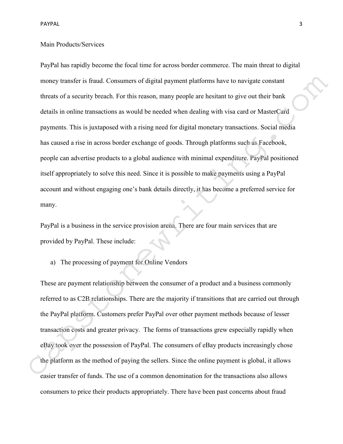# Main Products/Services

PayPal has rapidly become the focal time for across border commerce. The main threat to digital money transfer is fraud. Consumers of digital payment platforms have to navigate constant threats of a security breach. For this reason, many people are hesitant to give out their bank details in online transactions as would be needed when dealing with visa card or MasterCard payments. This is juxtaposed with a rising need for digital monetary transactions. Social media has caused a rise in across border exchange of goods. Through platforms such as Facebook, people can advertise products to a global audience with minimal expenditure. PayPal positioned itself appropriately to solve this need. Since it is possible to make payments using a PayPal account and without engaging one's bank details directly, it has become a preferred service for many. money transfer is fraud. Consumers of digital payment platforms have to navigate constant<br>threats of a security breach. For this reason, many people are hesitant to give out their bank<br>details in online transactions as wou

PayPal is a business in the service provision arena. There are four main services that are provided by PayPal. These include:

a) The processing of payment for Online Vendors

These are payment relationship between the consumer of a product and a business commonly referred to as C2B relationships. There are the majority if transitions that are carried out through the PayPal platform. Customers prefer PayPal over other payment methods because of lesser transaction costs and greater privacy. The forms of transactions grew especially rapidly when eBay took over the possession of PayPal. The consumers of eBay products increasingly chose the platform as the method of paying the sellers. Since the online payment is global, it allows easier transfer of funds. The use of a common denomination for the transactions also allows consumers to price their products appropriately. There have been past concerns about fraud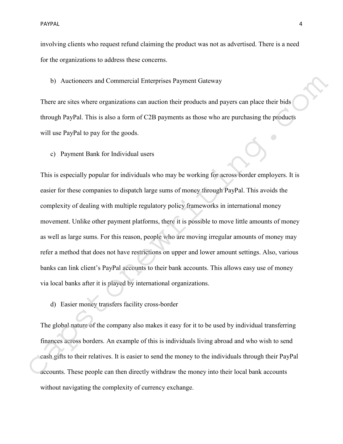involving clients who request refund claiming the product was not as advertised. There is a need for the organizations to address these concerns.

b) Auctioneers and Commercial Enterprises Payment Gateway

There are sites where organizations can auction their products and payers can place their bids through PayPal. This is also a form of C2B payments as those who are purchasing the products will use PayPal to pay for the goods.

c) Payment Bank for Individual users

This is especially popular for individuals who may be working for across border employers. It is easier for these companies to dispatch large sums of money through PayPal. This avoids the complexity of dealing with multiple regulatory policy frameworks in international money movement. Unlike other payment platforms, there it is possible to move little amounts of money as well as large sums. For this reason, people who are moving irregular amounts of money may refer a method that does not have restrictions on upper and lower amount settings. Also, various banks can link client's PayPal accounts to their bank accounts. This allows easy use of money via local banks after it is played by international organizations. b) Auctioneers and Commercial Enterprises Payment Gateway<br>
There are sites where organizations can auction their products and payers can place their bids<br>
Utrough PayPal to pay for the goods.<br>
c) Payment Bank for Individua

d) Easier money transfers facility cross-border

The global nature of the company also makes it easy for it to be used by individual transferring finances across borders. An example of this is individuals living abroad and who wish to send cash gifts to their relatives. It is easier to send the money to the individuals through their PayPal without navigating the complexity of currency exchange.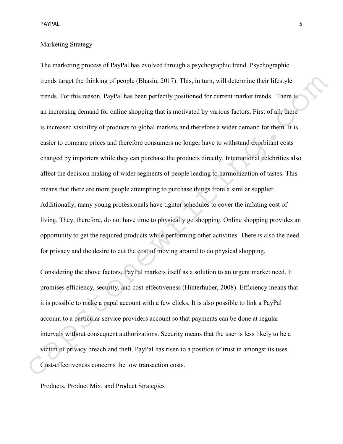# Marketing Strategy

The marketing process of PayPal has evolved through a psychographic trend. Psychographic trends target the thinking of people (Bhasin, 2017). This, in turn, will determine their lifestyle trends. For this reason, PayPal has been perfectly positioned for current market trends. There is an increasing demand for online shopping that is motivated by various factors. First of all, there is increased visibility of products to global markets and therefore a wider demand for them. It is easier to compare prices and therefore consumers no longer have to withstand exorbitant costs changed by importers while they can purchase the products directly. International celebrities also affect the decision making of wider segments of people leading to harmonization of tastes. This means that there are more people attempting to purchase things from a similar supplier. Additionally, many young professionals have tighter schedules to cover the inflating cost of living. They, therefore, do not have time to physically go shopping. Online shopping provides an opportunity to get the required products while performing other activities. There is also the need for privacy and the desire to cut the cost of moving around to do physical shopping. trends turget the thinking of people (Bhusin, 2017). This, in turn, will determine their lifestyle<br>trends. For this reason, PayPal has been perfectly positioned for current market trends. There is<br>an increasing demand for

Considering the above factors, PayPal markets itself as a solution to an urgent market need. It promises efficiency, security, and cost-effectiveness (Hinterhuber, 2008). Efficiency means that it is possible to make a papal account with a few clicks. It is also possible to link a PayPal account to a particular service providers account so that payments can be done at regular intervals without consequent authorizations. Security means that the user is less likely to be a victim of privacy breach and theft. PayPal has risen to a position of trust in amongst its uses.

Products, Product Mix, and Product Strategies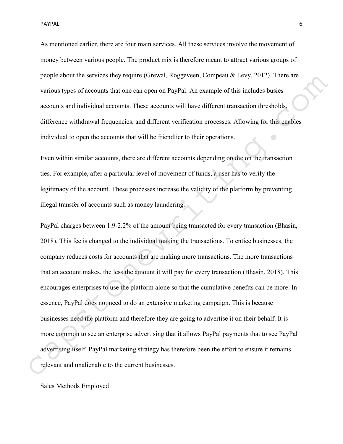PAYPAL 6

As mentioned earlier, there are four main services. All these services involve the movement of money between various people. The product mix is therefore meant to attract various groups of people about the services they require (Grewal, Roggeveen, Compeau & Levy, 2012). There are various types of accounts that one can open on PayPal. An example of this includes busies accounts and individual accounts. These accounts will have different transaction thresholds, difference withdrawal frequencies, and different verification processes. Allowing for this enables individual to open the accounts that will be friendlier to their operations.

Even within similar accounts, there are different accounts depending on the on the transaction ties. For example, after a particular level of movement of funds, a user has to verify the legitimacy of the account. These processes increase the validity of the platform by preventing illegal transfer of accounts such as money laundering.

PayPal charges between 1.9-2.2% of the amount being transacted for every transaction (Bhasin, 2018). This fee is changed to the individual making the transactions. To entice businesses, the company reduces costs for accounts that are making more transactions. The more transactions that an account makes, the less the amount it will pay for every transaction (Bhasin, 2018). This encourages enterprises to use the platform alone so that the cumulative benefits can be more. In essence, PayPal does not need to do an extensive marketing campaign. This is because businesses need the platform and therefore they are going to advertise it on their behalf. It is more common to see an enterprise advertising that it allows PayPal payments that to see PayPal advertising itself. PayPal marketing strategy has therefore been the effort to ensure it remains people anont the services they require ((rexwal, Roggeveen, Competa *R* Levy, 2012). There are<br>various types of accounts that one can open on PayPal. An example of this includes husies<br>accounts and individual accounts. Th

Sales Methods Employed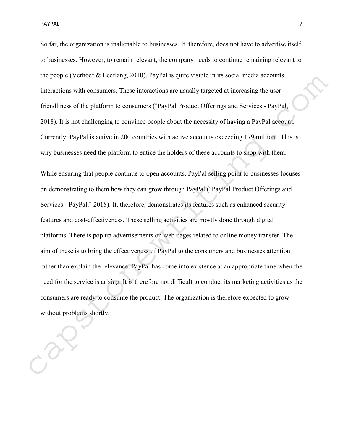So far, the organization is inalienable to businesses. It, therefore, does not have to advertise itself to businesses. However, to remain relevant, the company needs to continue remaining relevant to the people (Verhoef & Leeflang, 2010). PayPal is quite visible in its social media accounts interactions with consumers. These interactions are usually targeted at increasing the userfriendliness of the platform to consumers ("PayPal Product Offerings and Services - PayPal," 2018). It is not challenging to convince people about the necessity of having a PayPal account. Currently, PayPal is active in 200 countries with active accounts exceeding 179 million. This is why businesses need the platform to entice the holders of these accounts to shop with them.

While ensuring that people continue to open accounts, PayPal selling point to businesses focuses on demonstrating to them how they can grow through PayPal ("PayPal Product Offerings and Services - PayPal," 2018). It, therefore, demonstrates its features such as enhanced security features and cost-effectiveness. These selling activities are mostly done through digital platforms. There is pop up advertisements on web pages related to online money transfer. The aim of these is to bring the effectiveness of PayPal to the consumers and businesses attention rather than explain the relevance. PayPal has come into existence at an appropriate time when the need for the service is arising. It is therefore not difficult to conduct its marketing activities as the consumers are ready to consume the product. The organization is therefore expected to grow without problems shortly. the people (Verhoct R Lectiang, 2010). PayPal is quite visible in its social media accounts<br>interactions with consumers. These interactions are usually trageted at increasing the user-<br>friendliness of the platform to consu